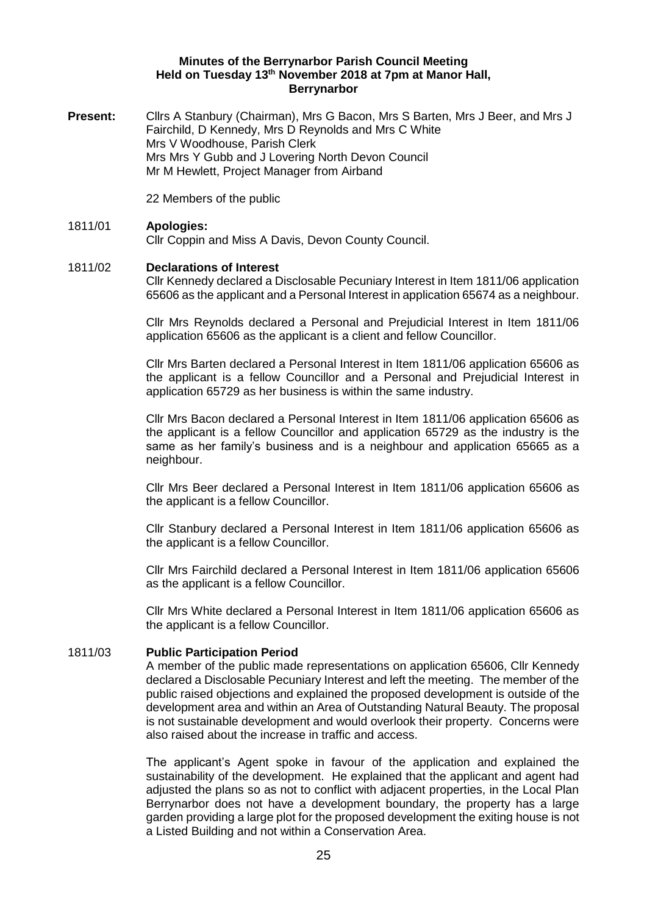## **Minutes of the Berrynarbor Parish Council Meeting Held on Tuesday 13th November 2018 at 7pm at Manor Hall, Berrynarbor**

**Present:** Cllrs A Stanbury (Chairman), Mrs G Bacon, Mrs S Barten, Mrs J Beer, and Mrs J Fairchild, D Kennedy, Mrs D Reynolds and Mrs C White Mrs V Woodhouse, Parish Clerk Mrs Mrs Y Gubb and J Lovering North Devon Council Mr M Hewlett, Project Manager from Airband

22 Members of the public

## 1811/01 **Apologies:**

Cllr Coppin and Miss A Davis, Devon County Council.

## 1811/02 **Declarations of Interest**

Cllr Kennedy declared a Disclosable Pecuniary Interest in Item 1811/06 application 65606 as the applicant and a Personal Interest in application 65674 as a neighbour.

Cllr Mrs Reynolds declared a Personal and Prejudicial Interest in Item 1811/06 application 65606 as the applicant is a client and fellow Councillor.

Cllr Mrs Barten declared a Personal Interest in Item 1811/06 application 65606 as the applicant is a fellow Councillor and a Personal and Prejudicial Interest in application 65729 as her business is within the same industry.

Cllr Mrs Bacon declared a Personal Interest in Item 1811/06 application 65606 as the applicant is a fellow Councillor and application 65729 as the industry is the same as her family's business and is a neighbour and application 65665 as a neighbour.

Cllr Mrs Beer declared a Personal Interest in Item 1811/06 application 65606 as the applicant is a fellow Councillor.

Cllr Stanbury declared a Personal Interest in Item 1811/06 application 65606 as the applicant is a fellow Councillor.

Cllr Mrs Fairchild declared a Personal Interest in Item 1811/06 application 65606 as the applicant is a fellow Councillor.

Cllr Mrs White declared a Personal Interest in Item 1811/06 application 65606 as the applicant is a fellow Councillor.

#### 1811/03 **Public Participation Period**

A member of the public made representations on application 65606, Cllr Kennedy declared a Disclosable Pecuniary Interest and left the meeting. The member of the public raised objections and explained the proposed development is outside of the development area and within an Area of Outstanding Natural Beauty. The proposal is not sustainable development and would overlook their property. Concerns were also raised about the increase in traffic and access.

The applicant's Agent spoke in favour of the application and explained the sustainability of the development. He explained that the applicant and agent had adjusted the plans so as not to conflict with adjacent properties, in the Local Plan Berrynarbor does not have a development boundary, the property has a large garden providing a large plot for the proposed development the exiting house is not a Listed Building and not within a Conservation Area.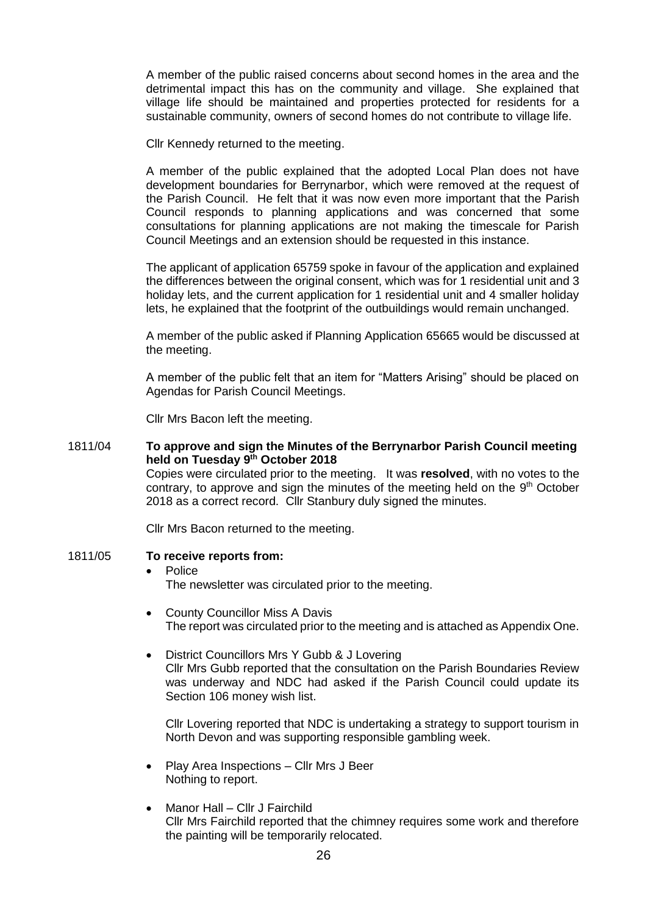A member of the public raised concerns about second homes in the area and the detrimental impact this has on the community and village. She explained that village life should be maintained and properties protected for residents for a sustainable community, owners of second homes do not contribute to village life.

Cllr Kennedy returned to the meeting.

A member of the public explained that the adopted Local Plan does not have development boundaries for Berrynarbor, which were removed at the request of the Parish Council. He felt that it was now even more important that the Parish Council responds to planning applications and was concerned that some consultations for planning applications are not making the timescale for Parish Council Meetings and an extension should be requested in this instance.

The applicant of application 65759 spoke in favour of the application and explained the differences between the original consent, which was for 1 residential unit and 3 holiday lets, and the current application for 1 residential unit and 4 smaller holiday lets, he explained that the footprint of the outbuildings would remain unchanged.

A member of the public asked if Planning Application 65665 would be discussed at the meeting.

A member of the public felt that an item for "Matters Arising" should be placed on Agendas for Parish Council Meetings.

Cllr Mrs Bacon left the meeting.

#### 1811/04 **To approve and sign the Minutes of the Berrynarbor Parish Council meeting held on Tuesday 9 th October 2018** Copies were circulated prior to the meeting. It was **resolved**, with no votes to the contrary, to approve and sign the minutes of the meeting held on the 9<sup>th</sup> October 2018 as a correct record. Cllr Stanbury duly signed the minutes.

Cllr Mrs Bacon returned to the meeting.

#### 1811/05 **To receive reports from:**

# • Police

The newsletter was circulated prior to the meeting.

- County Councillor Miss A Davis The report was circulated prior to the meeting and is attached as Appendix One.
- District Councillors Mrs Y Gubb & J Lovering Cllr Mrs Gubb reported that the consultation on the Parish Boundaries Review was underway and NDC had asked if the Parish Council could update its Section 106 money wish list.

Cllr Lovering reported that NDC is undertaking a strategy to support tourism in North Devon and was supporting responsible gambling week.

- Play Area Inspections Cllr Mrs J Beer Nothing to report.
- Manor Hall Cllr J Fairchild Cllr Mrs Fairchild reported that the chimney requires some work and therefore the painting will be temporarily relocated.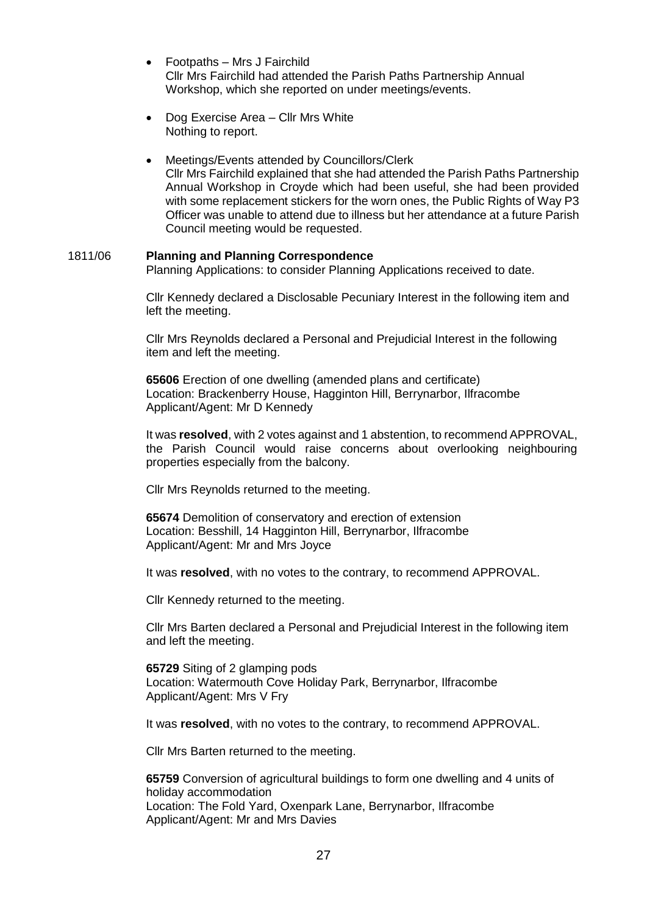- Footpaths Mrs J Fairchild Cllr Mrs Fairchild had attended the Parish Paths Partnership Annual Workshop, which she reported on under meetings/events.
- Dog Exercise Area Cllr Mrs White Nothing to report.
- Meetings/Events attended by Councillors/Clerk Cllr Mrs Fairchild explained that she had attended the Parish Paths Partnership Annual Workshop in Croyde which had been useful, she had been provided with some replacement stickers for the worn ones, the Public Rights of Way P3 Officer was unable to attend due to illness but her attendance at a future Parish Council meeting would be requested.

### 1811/06 **Planning and Planning Correspondence**

Planning Applications: to consider Planning Applications received to date.

Cllr Kennedy declared a Disclosable Pecuniary Interest in the following item and left the meeting.

Cllr Mrs Reynolds declared a Personal and Prejudicial Interest in the following item and left the meeting.

**65606** Erection of one dwelling (amended plans and certificate) Location: Brackenberry House, Hagginton Hill, Berrynarbor, Ilfracombe Applicant/Agent: Mr D Kennedy

It was **resolved**, with 2 votes against and 1 abstention, to recommend APPROVAL, the Parish Council would raise concerns about overlooking neighbouring properties especially from the balcony.

Cllr Mrs Reynolds returned to the meeting.

**65674** Demolition of conservatory and erection of extension Location: Besshill, 14 Hagginton Hill, Berrynarbor, Ilfracombe Applicant/Agent: Mr and Mrs Joyce

It was **resolved**, with no votes to the contrary, to recommend APPROVAL.

Cllr Kennedy returned to the meeting.

Cllr Mrs Barten declared a Personal and Prejudicial Interest in the following item and left the meeting.

**65729** Siting of 2 glamping pods Location: Watermouth Cove Holiday Park, Berrynarbor, Ilfracombe Applicant/Agent: Mrs V Fry

It was **resolved**, with no votes to the contrary, to recommend APPROVAL.

Cllr Mrs Barten returned to the meeting.

**65759** Conversion of agricultural buildings to form one dwelling and 4 units of holiday accommodation Location: The Fold Yard, Oxenpark Lane, Berrynarbor, Ilfracombe Applicant/Agent: Mr and Mrs Davies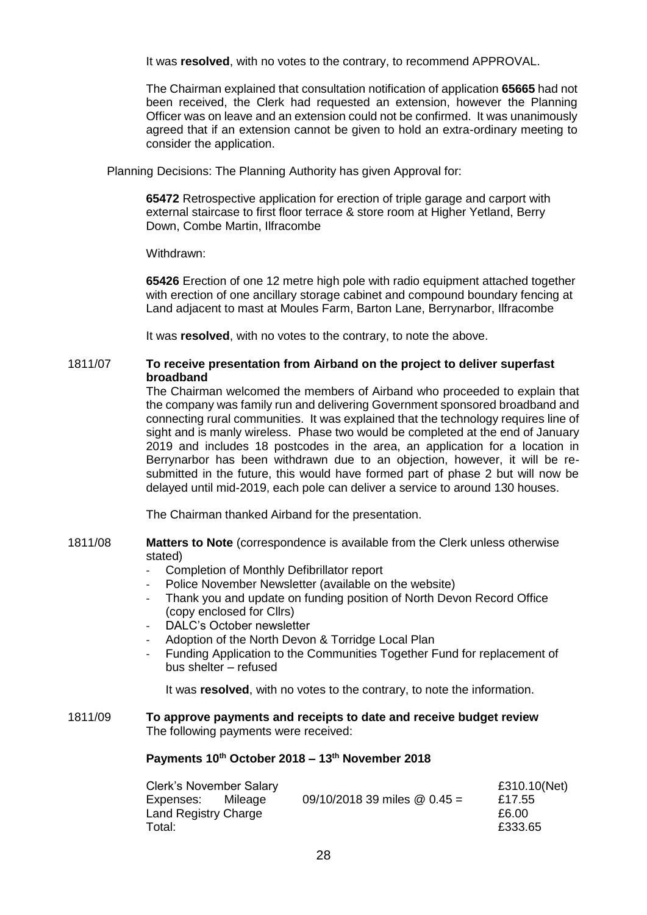It was **resolved**, with no votes to the contrary, to recommend APPROVAL.

The Chairman explained that consultation notification of application **65665** had not been received, the Clerk had requested an extension, however the Planning Officer was on leave and an extension could not be confirmed. It was unanimously agreed that if an extension cannot be given to hold an extra-ordinary meeting to consider the application.

Planning Decisions: The Planning Authority has given Approval for:

**65472** Retrospective application for erection of triple garage and carport with external staircase to first floor terrace & store room at Higher Yetland, Berry Down, Combe Martin, Ilfracombe

Withdrawn:

**65426** Erection of one 12 metre high pole with radio equipment attached together with erection of one ancillary storage cabinet and compound boundary fencing at Land adjacent to mast at Moules Farm, Barton Lane, Berrynarbor, Ilfracombe

It was **resolved**, with no votes to the contrary, to note the above.

## 1811/07 **To receive presentation from Airband on the project to deliver superfast broadband**

The Chairman welcomed the members of Airband who proceeded to explain that the company was family run and delivering Government sponsored broadband and connecting rural communities. It was explained that the technology requires line of sight and is manly wireless. Phase two would be completed at the end of January 2019 and includes 18 postcodes in the area, an application for a location in Berrynarbor has been withdrawn due to an objection, however, it will be resubmitted in the future, this would have formed part of phase 2 but will now be delayed until mid-2019, each pole can deliver a service to around 130 houses.

The Chairman thanked Airband for the presentation.

- 1811/08 **Matters to Note** (correspondence is available from the Clerk unless otherwise stated)
	- Completion of Monthly Defibrillator report
	- Police November Newsletter (available on the website)
	- Thank you and update on funding position of North Devon Record Office (copy enclosed for Cllrs)
	- DALC's October newsletter
	- Adoption of the North Devon & Torridge Local Plan
	- Funding Application to the Communities Together Fund for replacement of bus shelter – refused

It was **resolved**, with no votes to the contrary, to note the information.

#### 1811/09 **To approve payments and receipts to date and receive budget review** The following payments were received:

## **Payments 10th October 2018 – 13th November 2018**

| <b>Clerk's November Salary</b> |  |                                | £310.10(Net) |
|--------------------------------|--|--------------------------------|--------------|
| Expenses: Mileage              |  | 09/10/2018 39 miles $@$ 0.45 = | £17.55       |
| Land Registry Charge           |  |                                | £6.00        |
| Total:                         |  |                                | £333.65      |
|                                |  |                                |              |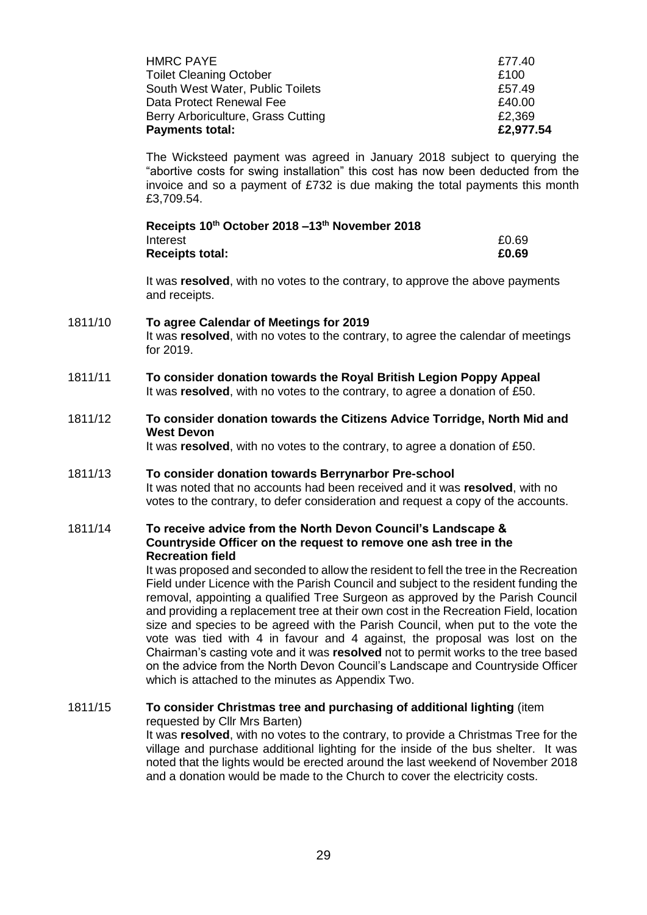| £2,977.54 |
|-----------|
| £2,369    |
| £40.00    |
| £57.49    |
| £100      |
| £77.40    |
|           |

The Wicksteed payment was agreed in January 2018 subject to querying the "abortive costs for swing installation" this cost has now been deducted from the invoice and so a payment of £732 is due making the total payments this month £3,709.54.

| Receipts 10th October 2018 -13th November 2018 |       |
|------------------------------------------------|-------|
| Interest                                       | £0.69 |
| <b>Receipts total:</b>                         | £0.69 |

It was **resolved**, with no votes to the contrary, to approve the above payments and receipts.

## 1811/10 **To agree Calendar of Meetings for 2019** It was **resolved**, with no votes to the contrary, to agree the calendar of meetings for 2019.

- 1811/11 **To consider donation towards the Royal British Legion Poppy Appeal**  It was **resolved**, with no votes to the contrary, to agree a donation of £50.
- 1811/12 **To consider donation towards the Citizens Advice Torridge, North Mid and West Devon**

It was **resolved**, with no votes to the contrary, to agree a donation of £50.

## 1811/13 **To consider donation towards Berrynarbor Pre-school** It was noted that no accounts had been received and it was **resolved**, with no votes to the contrary, to defer consideration and request a copy of the accounts.

## 1811/14 **To receive advice from the North Devon Council's Landscape & Countryside Officer on the request to remove one ash tree in the Recreation field**

It was proposed and seconded to allow the resident to fell the tree in the Recreation Field under Licence with the Parish Council and subject to the resident funding the removal, appointing a qualified Tree Surgeon as approved by the Parish Council and providing a replacement tree at their own cost in the Recreation Field, location size and species to be agreed with the Parish Council, when put to the vote the vote was tied with 4 in favour and 4 against, the proposal was lost on the Chairman's casting vote and it was **resolved** not to permit works to the tree based on the advice from the North Devon Council's Landscape and Countryside Officer which is attached to the minutes as Appendix Two.

1811/15 **To consider Christmas tree and purchasing of additional lighting** (item requested by Cllr Mrs Barten) It was **resolved**, with no votes to the contrary, to provide a Christmas Tree for the village and purchase additional lighting for the inside of the bus shelter. It was noted that the lights would be erected around the last weekend of November 2018 and a donation would be made to the Church to cover the electricity costs.